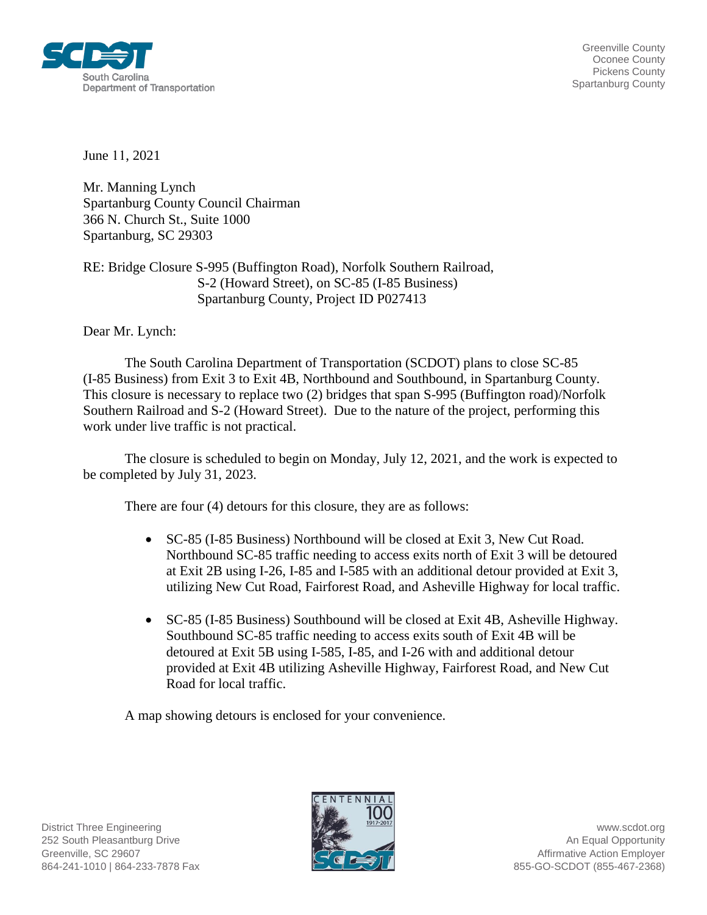

Greenville County Oconee County Pickens County Spartanburg County

June 11, 2021

Mr. Manning Lynch Spartanburg County Council Chairman 366 N. Church St., Suite 1000 Spartanburg, SC 29303

RE: Bridge Closure S-995 (Buffington Road), Norfolk Southern Railroad, S-2 (Howard Street), on SC-85 (I-85 Business) Spartanburg County, Project ID P027413

Dear Mr. Lynch:

The South Carolina Department of Transportation (SCDOT) plans to close SC-85 (I-85 Business) from Exit 3 to Exit 4B, Northbound and Southbound, in Spartanburg County. This closure is necessary to replace two (2) bridges that span S-995 (Buffington road)/Norfolk Southern Railroad and S-2 (Howard Street). Due to the nature of the project, performing this work under live traffic is not practical.

The closure is scheduled to begin on Monday, July 12, 2021, and the work is expected to be completed by July 31, 2023.

There are four (4) detours for this closure, they are as follows:

- SC-85 (I-85 Business) Northbound will be closed at Exit 3, New Cut Road. Northbound SC-85 traffic needing to access exits north of Exit 3 will be detoured at Exit 2B using I-26, I-85 and I-585 with an additional detour provided at Exit 3, utilizing New Cut Road, Fairforest Road, and Asheville Highway for local traffic.
- SC-85 (I-85 Business) Southbound will be closed at Exit 4B, Asheville Highway. Southbound SC-85 traffic needing to access exits south of Exit 4B will be detoured at Exit 5B using I-585, I-85, and I-26 with and additional detour provided at Exit 4B utilizing Asheville Highway, Fairforest Road, and New Cut Road for local traffic.

A map showing detours is enclosed for your convenience.

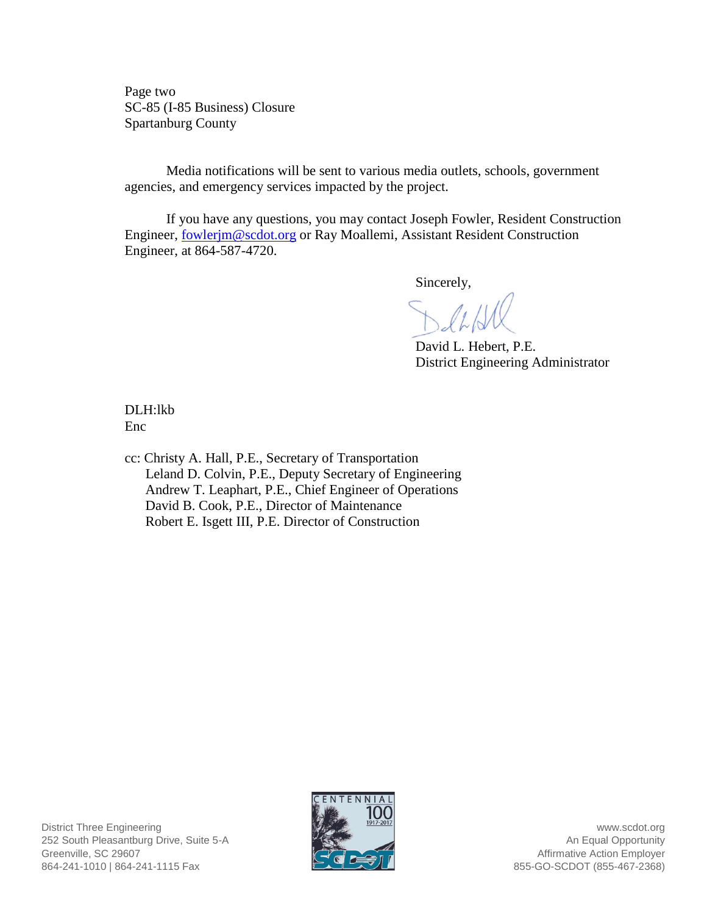Page two SC-85 (I-85 Business) Closure Spartanburg County

Media notifications will be sent to various media outlets, schools, government agencies, and emergency services impacted by the project.

If you have any questions, you may contact Joseph Fowler, Resident Construction Engineer, [fowlerjm@scdot.org](mailto:fowlerjm@scdot.org) or Ray Moallemi, Assistant Resident Construction Engineer, at 864-587-4720.

Sincerely,

David L. Hebert, P.E. District Engineering Administrator

DLH:lkb Enc

cc: Christy A. Hall, P.E., Secretary of Transportation Leland D. Colvin, P.E., Deputy Secretary of Engineering Andrew T. Leaphart, P.E., Chief Engineer of Operations David B. Cook, P.E., Director of Maintenance Robert E. Isgett III, P.E. Director of Construction